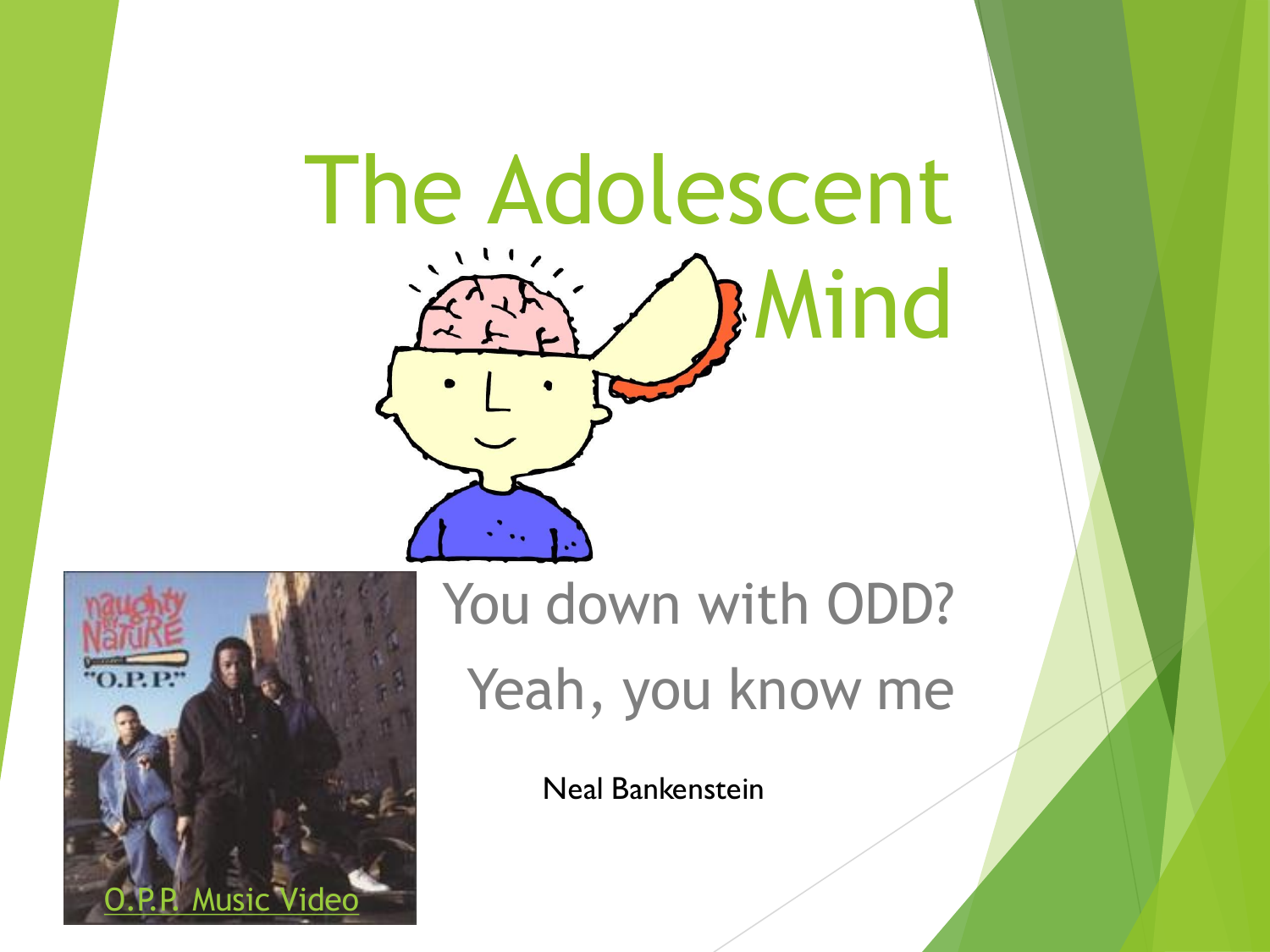# The Adolescent Mind



You down with ODD? Yeah, you know me

Neal Bankenstein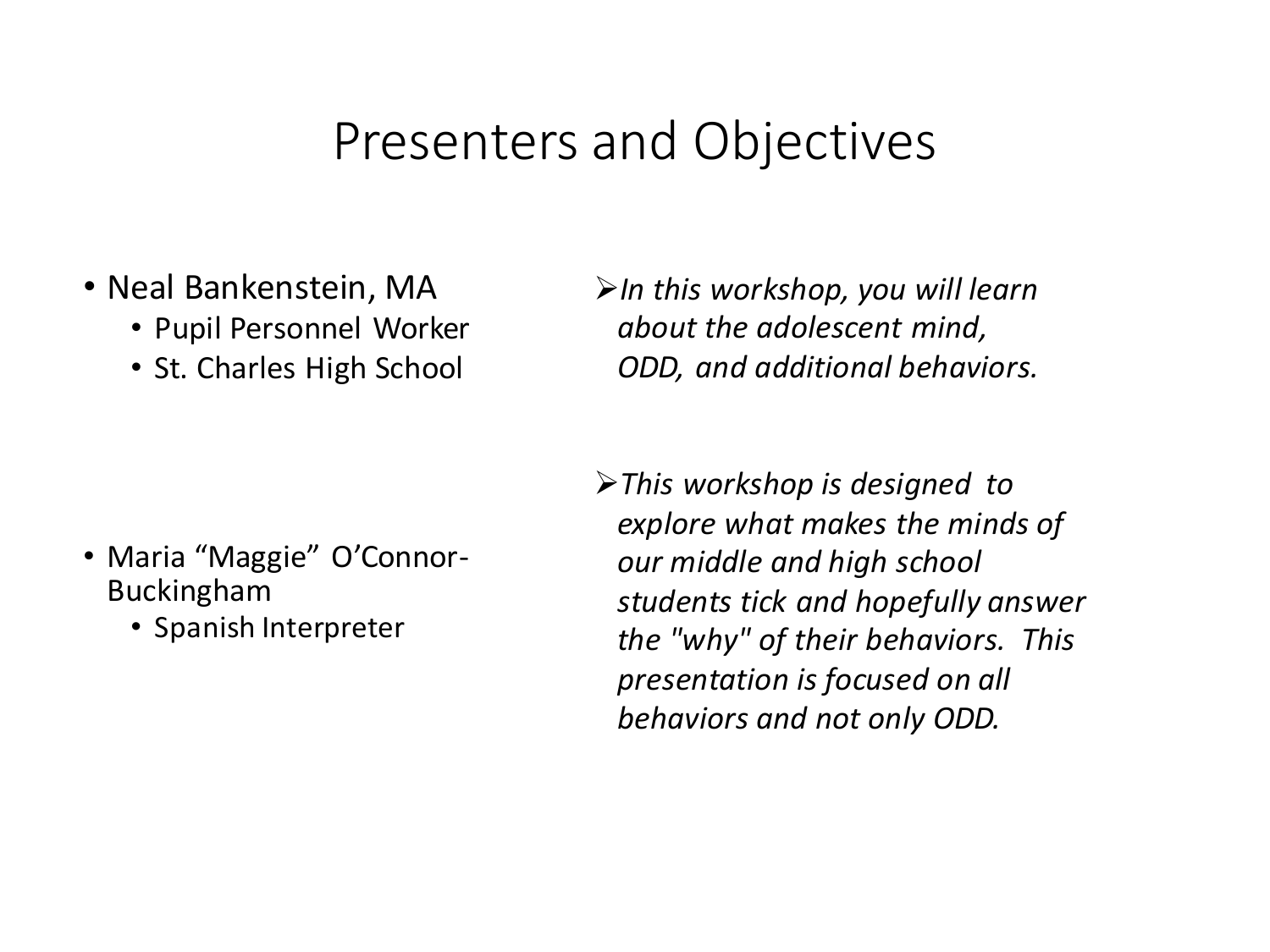#### Presenters and Objectives

- Neal Bankenstein, MA
	- Pupil Personnel Worker
	- St. Charles High School

➢*In this workshop, you will learn about the adolescent mind, ODD, and additional behaviors.*

- Maria "Maggie" O'Connor-Buckingham
	- Spanish Interpreter

➢*This workshop is designed to explore what makes the minds of our middle and high school students tick and hopefully answer the "why" of their behaviors. This presentation is focused on all behaviors and not only ODD.*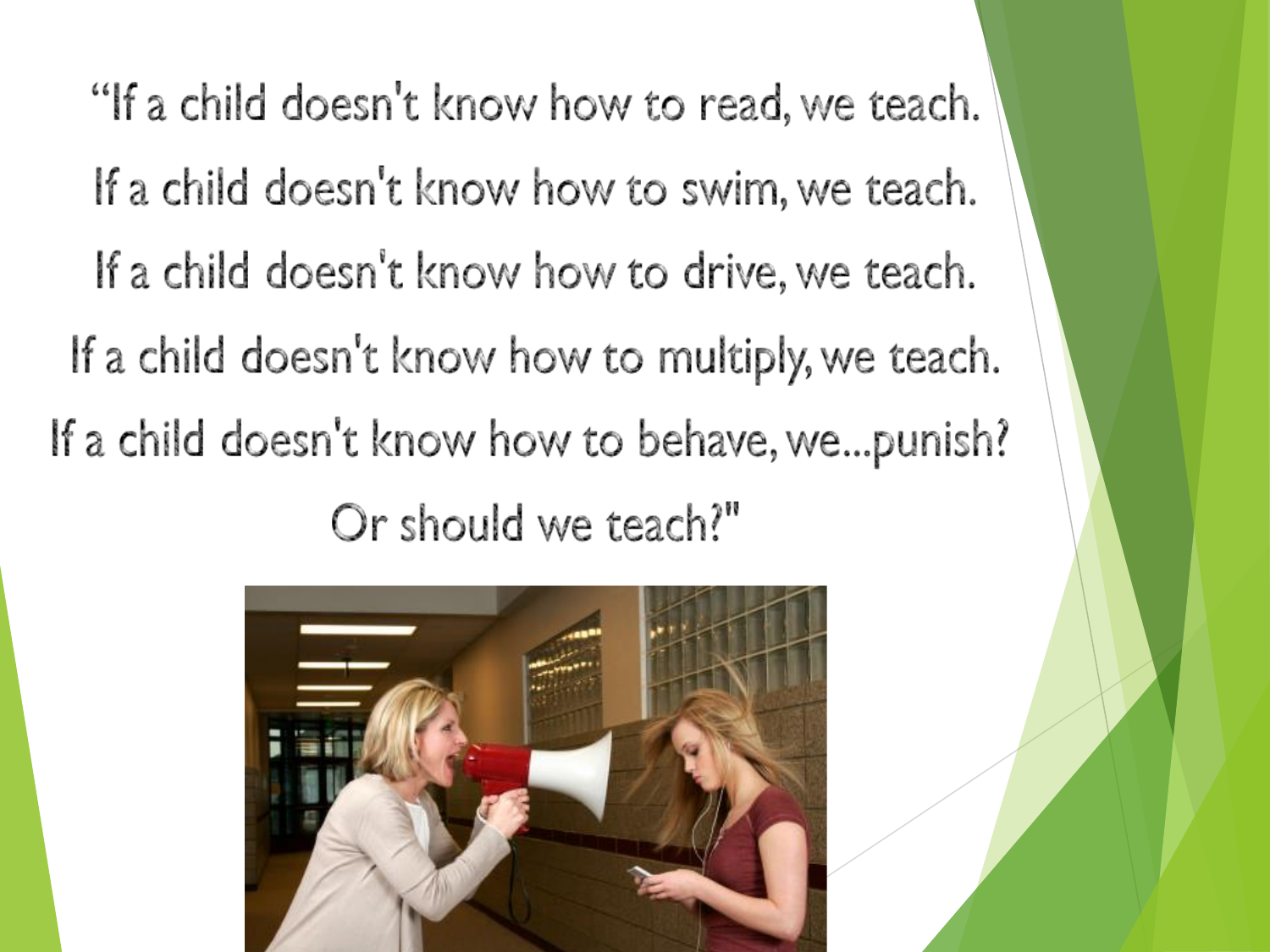"If a child doesn't know how to read, we teach. If a child doesn't know how to swim, we teach. If a child doesn't know how to drive, we teach. If a child doesn't know how to multiply, we teach. If a child doesn't know how to behave, we...punish? Or should we teach?"

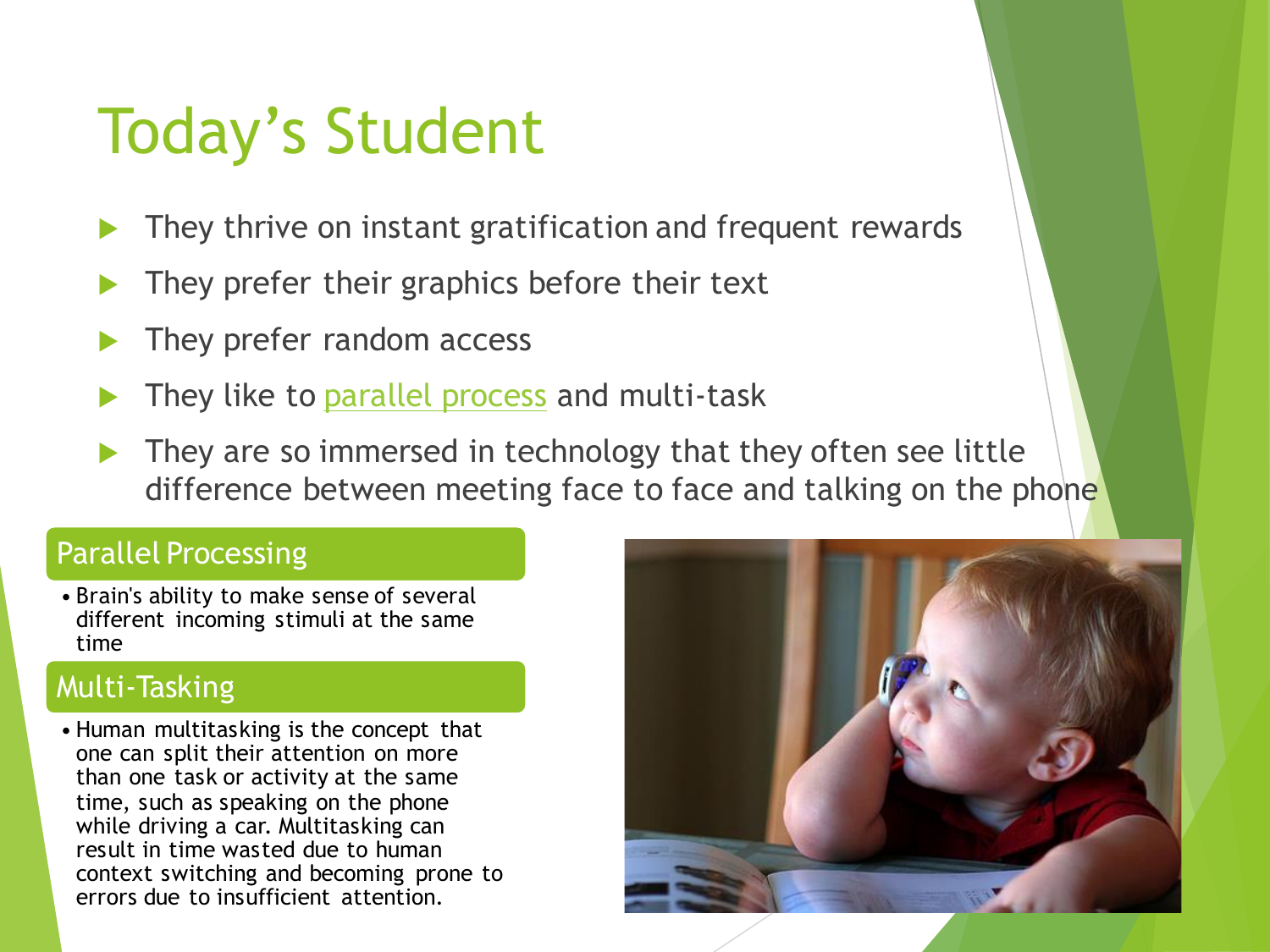# Today's Student

- They thrive on instant gratification and frequent rewards
- They prefer their graphics before their text
- They prefer random access
- They like to **parallel process** and multi-task
- They are so immersed in technology that they often see little difference between meeting face to face and talking on the phone

#### Parallel Processing

• Brain's ability to make sense of several different incoming stimuli at the same time

#### Multi-Tasking

• Human multitasking is the concept that one can split their attention on more than one task or activity at the same time, such as speaking on the phone while driving a car. Multitasking can result in time wasted due to human context switching and becoming prone to errors due to insufficient attention.

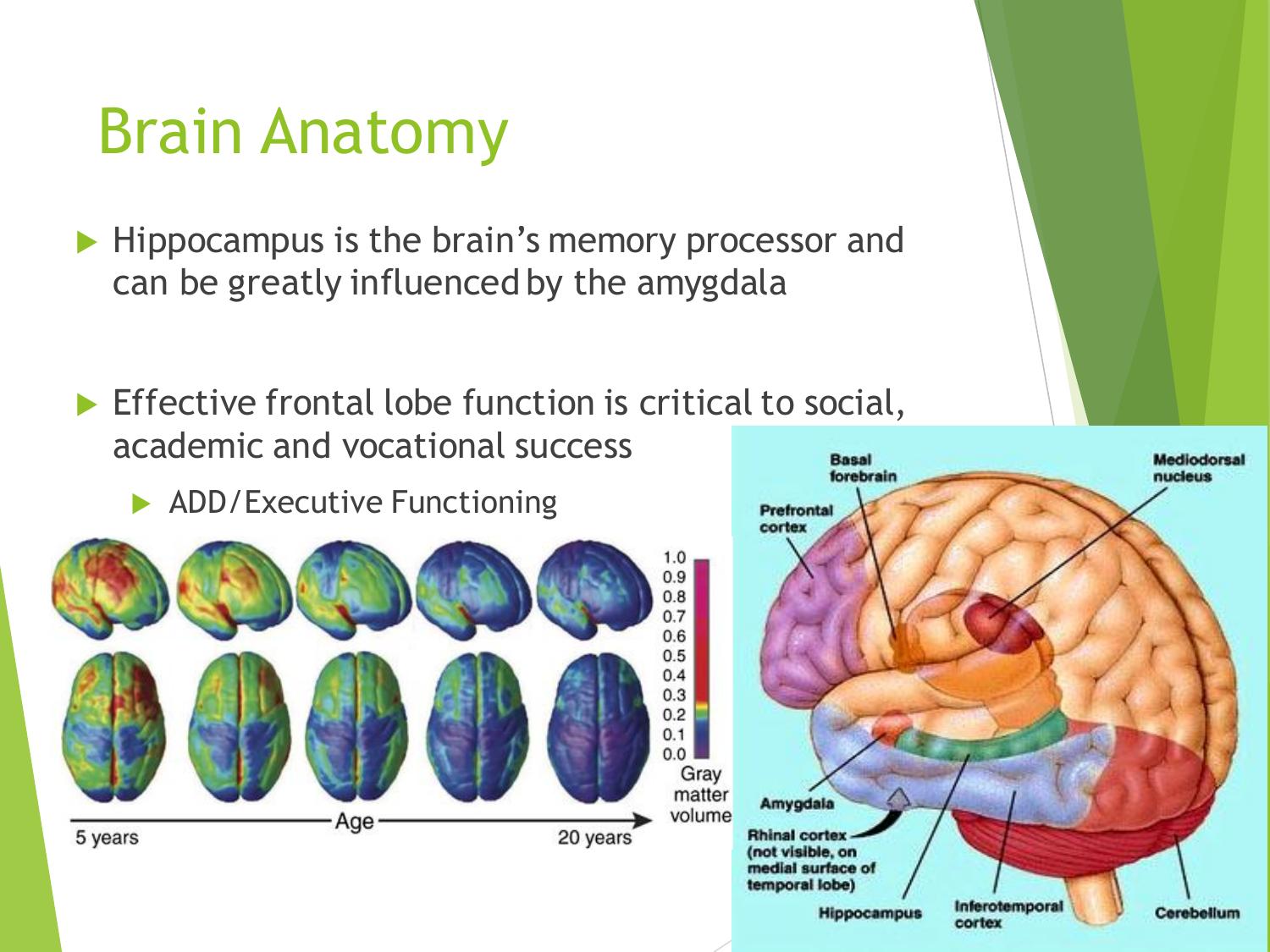#### Brain Anatomy

Hippocampus is the brain's memory processor and can be greatly influenced by the amygdala

 $\blacktriangleright$  Effective frontal lobe function is critical to social, academic and vocational success **Basal** 

ADD/Executive Functioning



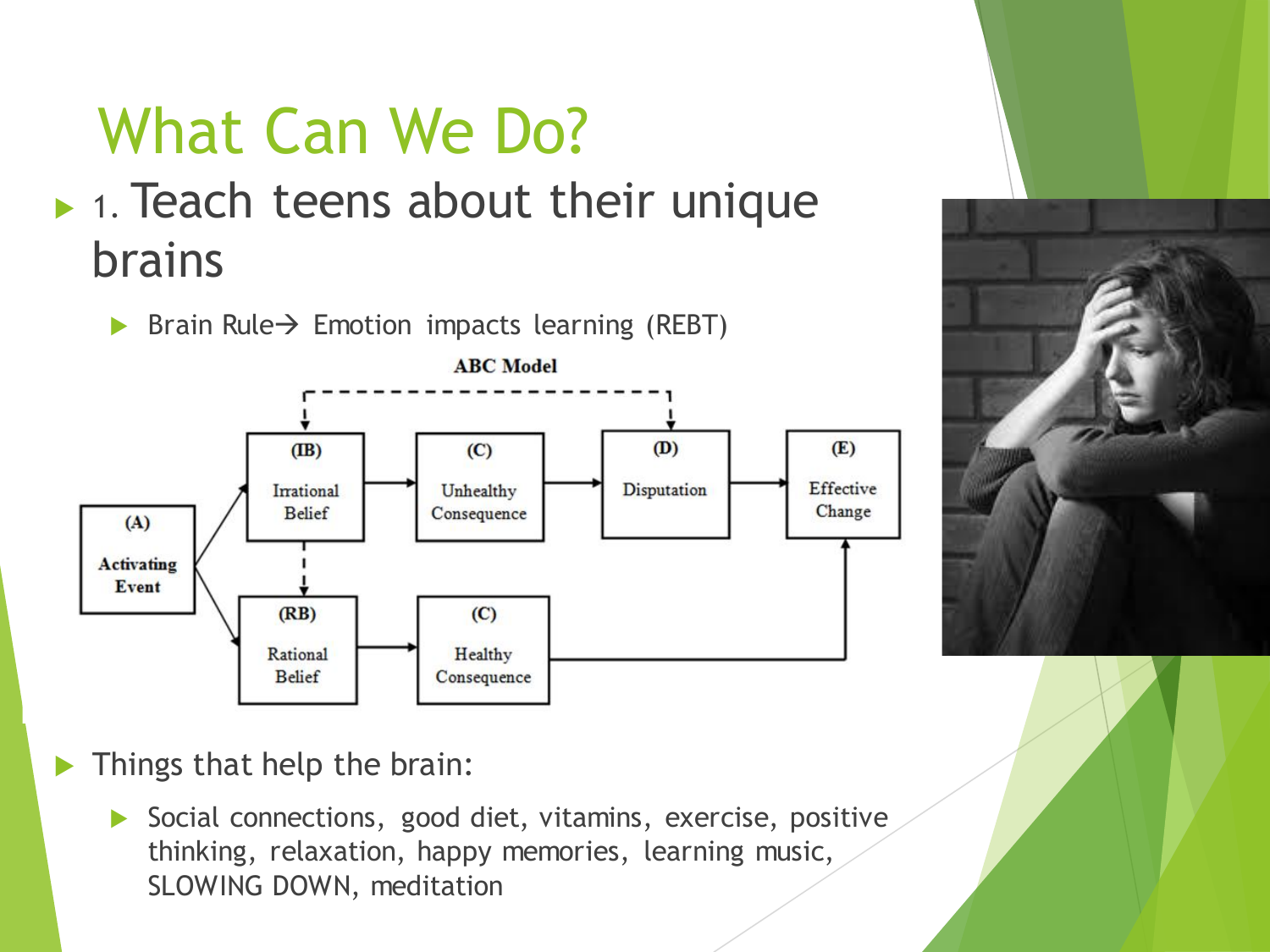



 $\blacktriangleright$  Things that help the brain:

 $(RB)$ 

Rational

**Belief** 

**Event** 

Social connections, good diet, vitamins, exercise, positive thinking, relaxation, happy memories, learning music, SLOWING DOWN, meditation

 $(C)$ 

Healthy

Consequence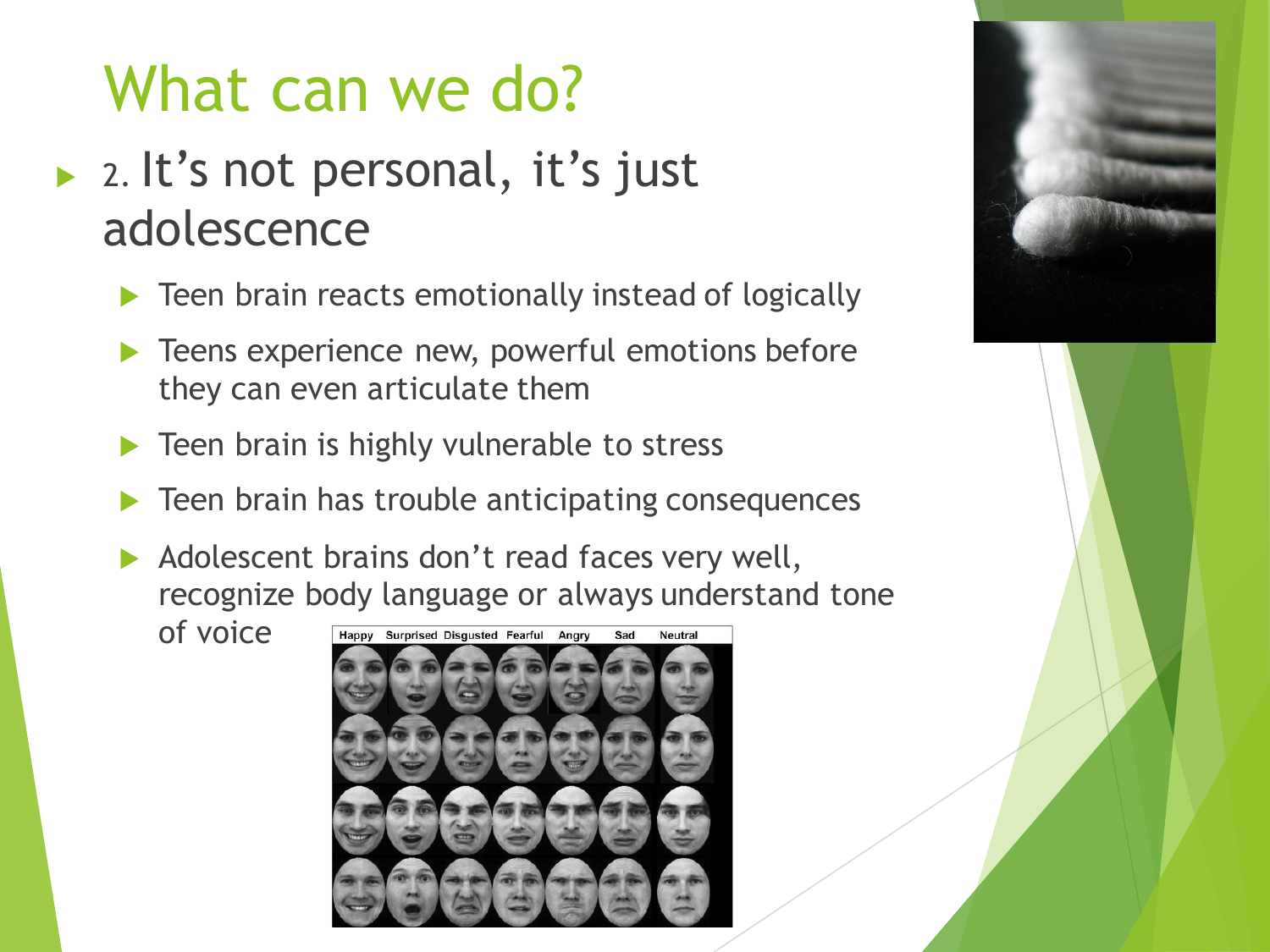#### ▶ 2. It's not personal, it's just adolescence

- **Teen brain reacts emotionally instead of logically**
- **Teens experience new, powerful emotions before** they can even articulate them
- Teen brain is highly vulnerable to stress
- Teen brain has trouble anticipating consequences
- $\triangleright$  Adolescent brains don't read faces very well, recognize body language or always understand tone

of voice



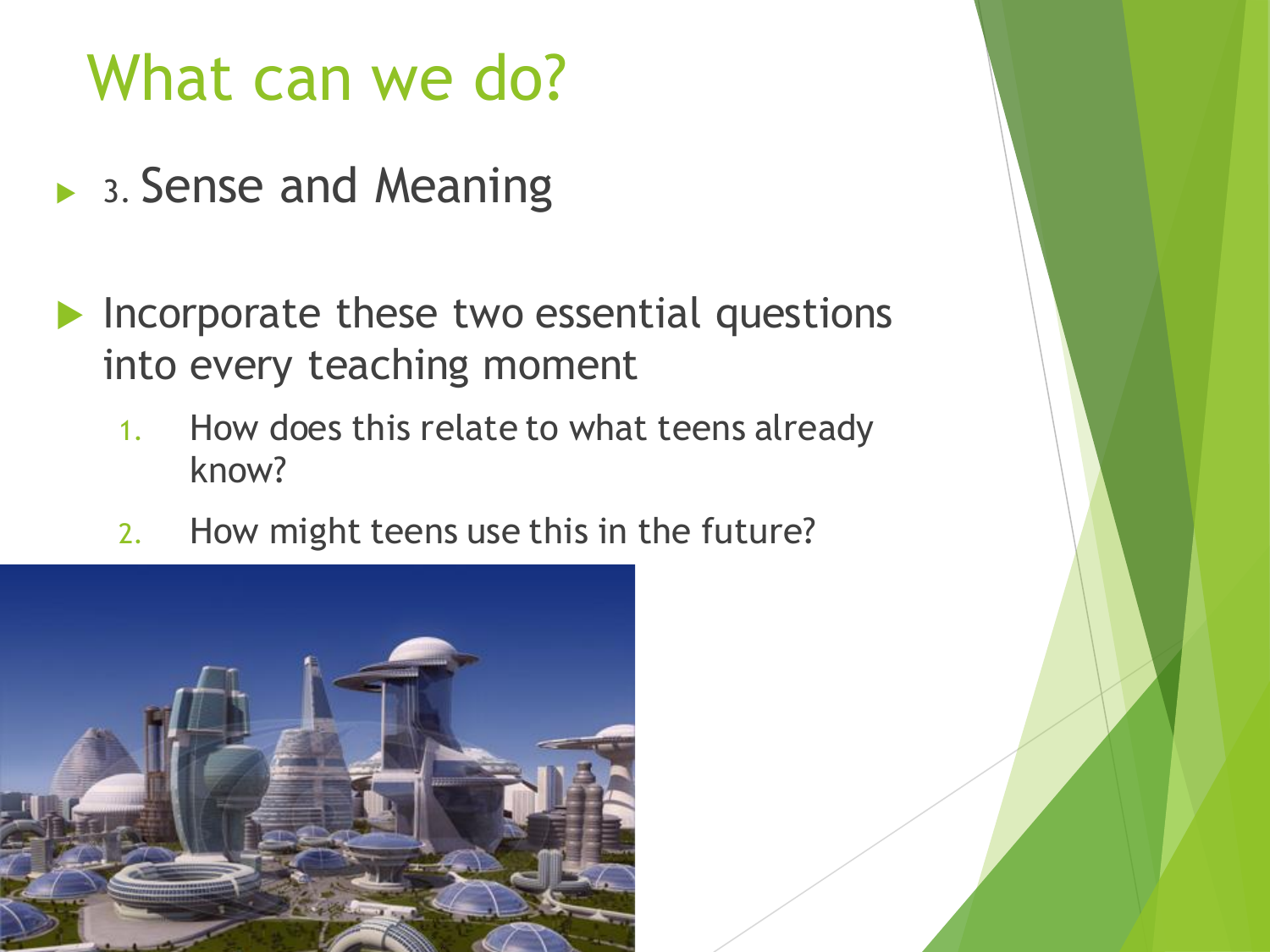- ▶ 3. Sense and Meaning
- Incorporate these two essential questions into every teaching moment
	- 1. How does this relate to what teens already know?
	- 2. How might teens use this in the future?

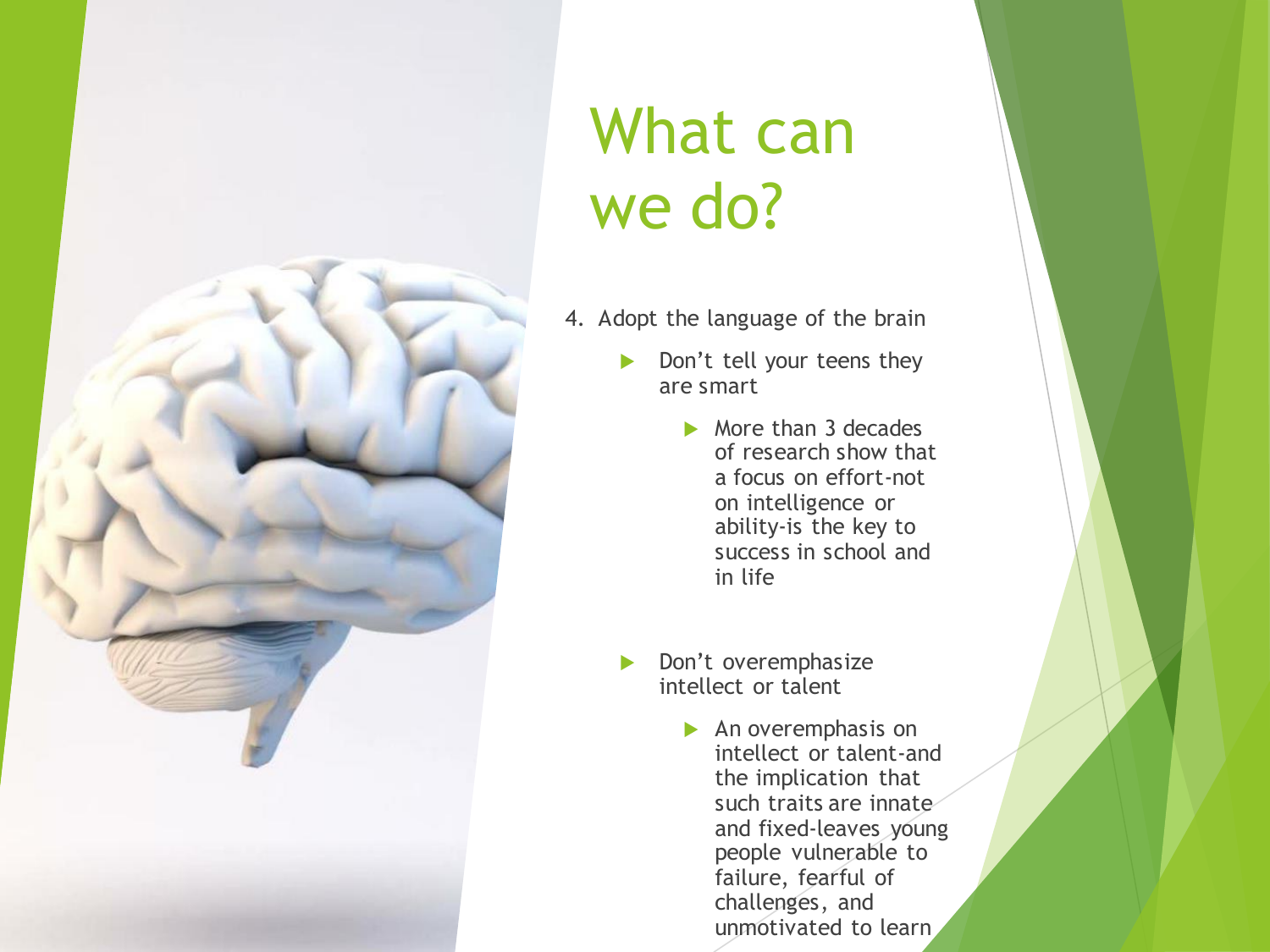

- 4. Adopt the language of the brain
	- Don't tell your teens they are smart
		- $\triangleright$  More than 3 decades of research show that a focus on effort-not on intelligence or ability-is the key to success in school and in life
	- Don't overemphasize intellect or talent
		- $\blacktriangleright$  An overemphasis on intellect or talent-and the implication that such traits are innate and fixed-leaves young people vulnerable to failure, fearful of challenges, and unmotivated to learn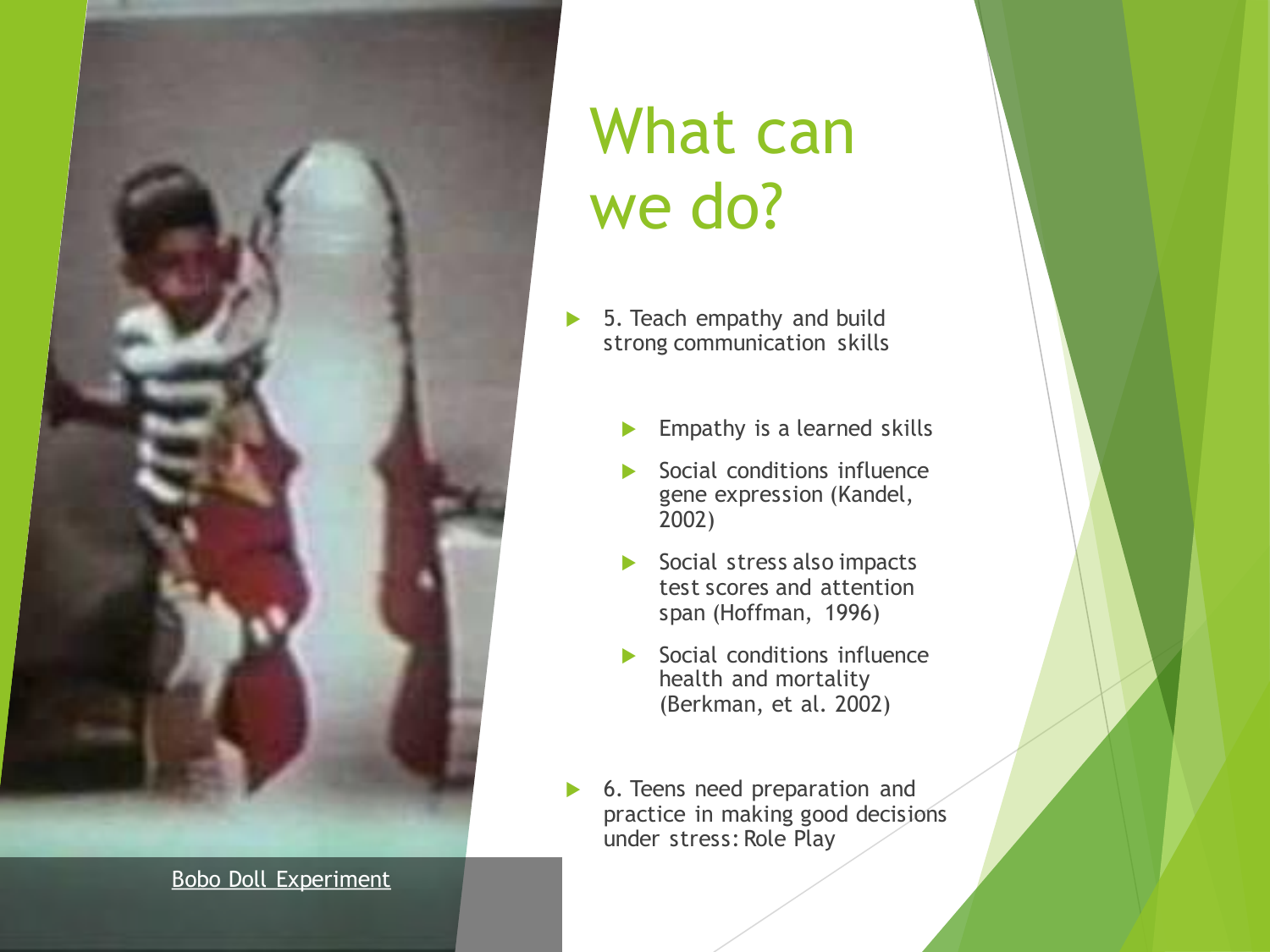

[Bobo Doll Experiment](https://www.youtube.com/watch?v=6lYsmt9qUVI)

- ▶ 5. Teach empathy and build strong communication skills
	- **Empathy is a learned skills**
	- Social conditions influence gene expression (Kandel, 2002)
	- Social stress also impacts test scores and attention span (Hoffman, 1996)
	- Social conditions influence health and mortality (Berkman, et al. 2002)
- ▶ 6. Teens need preparation and practice in making good decisions under stress: Role Play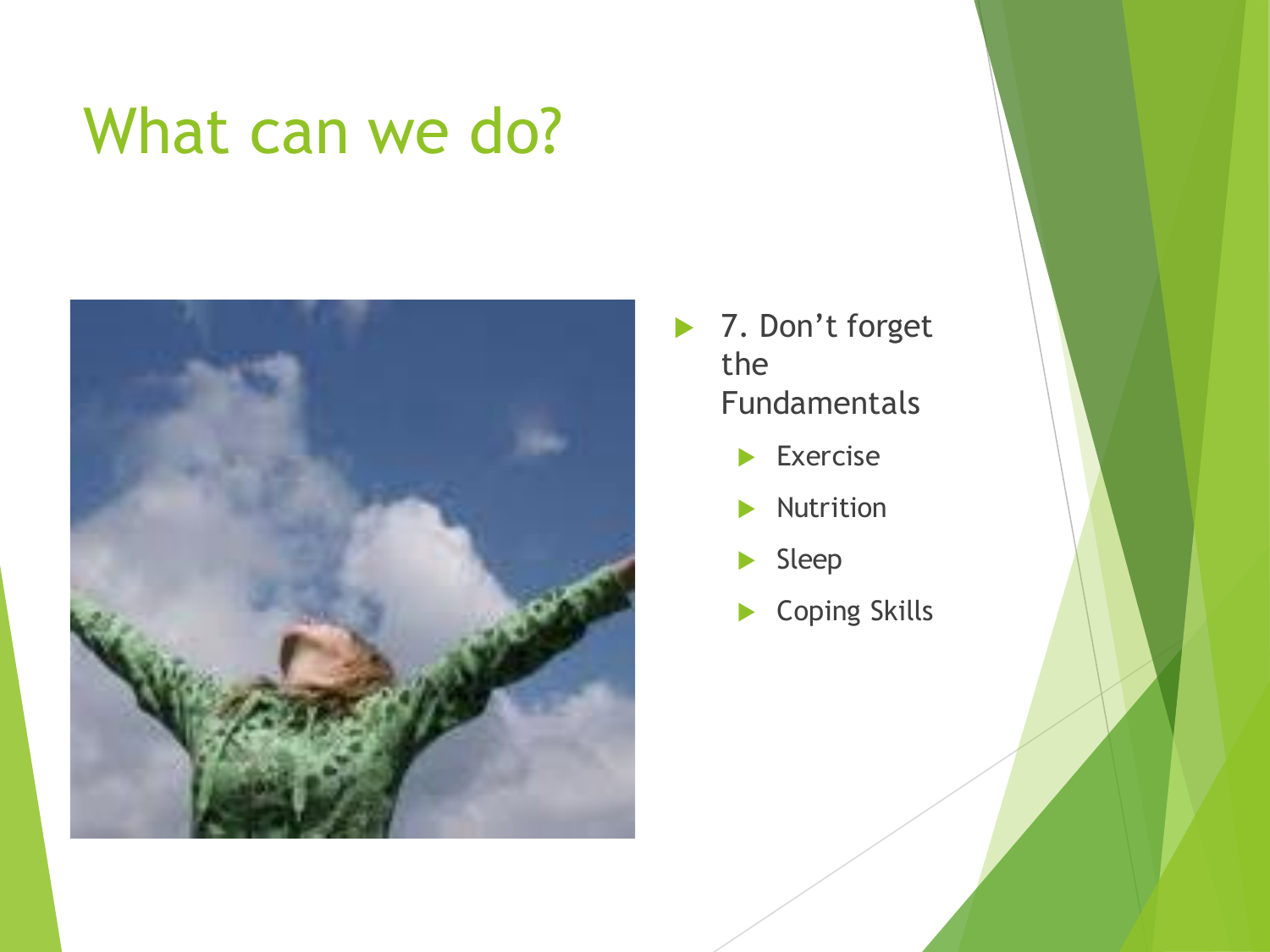

- ▶ 7. Don't forget the Fundamentals
	- **Exercise**
	- Nutrition
	- Sleep
	- ▶ Coping Skills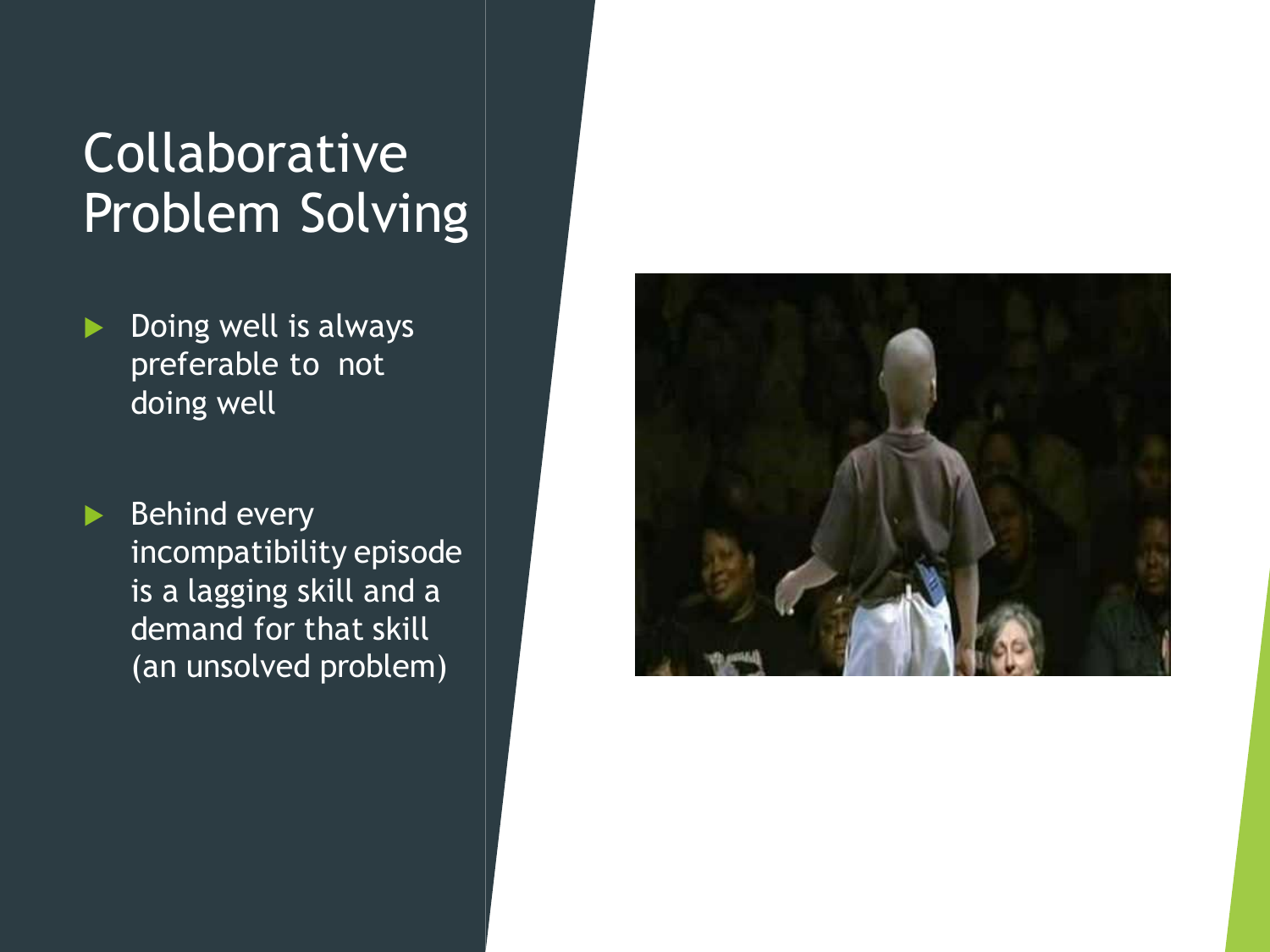#### Collaborative Problem Solving

Doing well is always preferable to not doing well

 $\blacktriangleright$  Behind every incompatibility episode is a lagging skill and a demand for that skill (an unsolved problem)

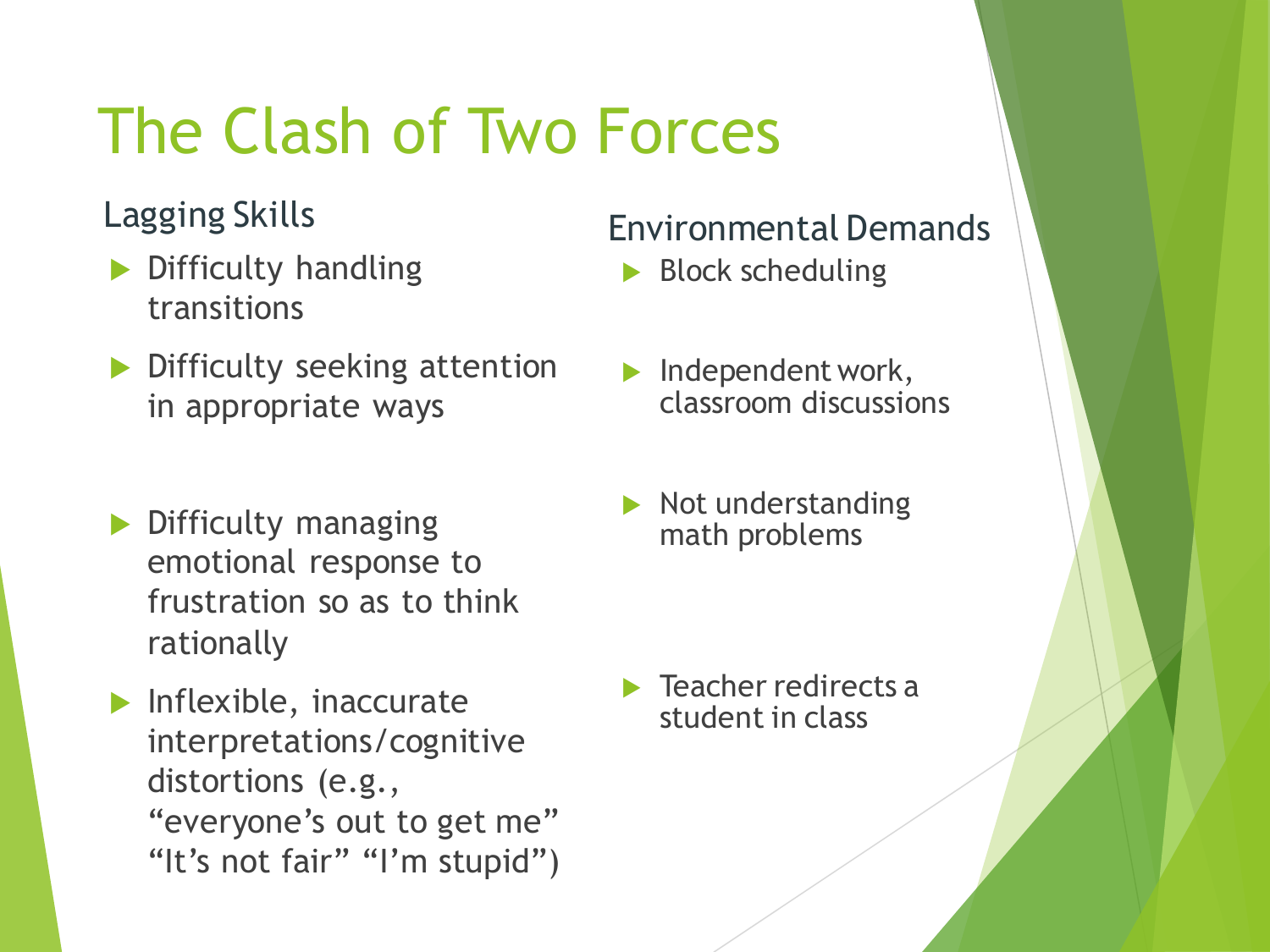# The Clash of Two Forces

- Difficulty handling transitions
- **Difficulty seeking attention** in appropriate ways
- Difficulty managing emotional response to frustration so as to think rationally
- $\blacktriangleright$  Inflexible, inaccurate interpretations/cognitive distortions (e.g., "everyone's out to get me" "It's not fair" "I'm stupid")

#### Lagging Skills Environmental Demands

- Block scheduling
- Independent work, classroom discussions
- Not understanding math problems

 $\blacktriangleright$  Teacher redirects a student in class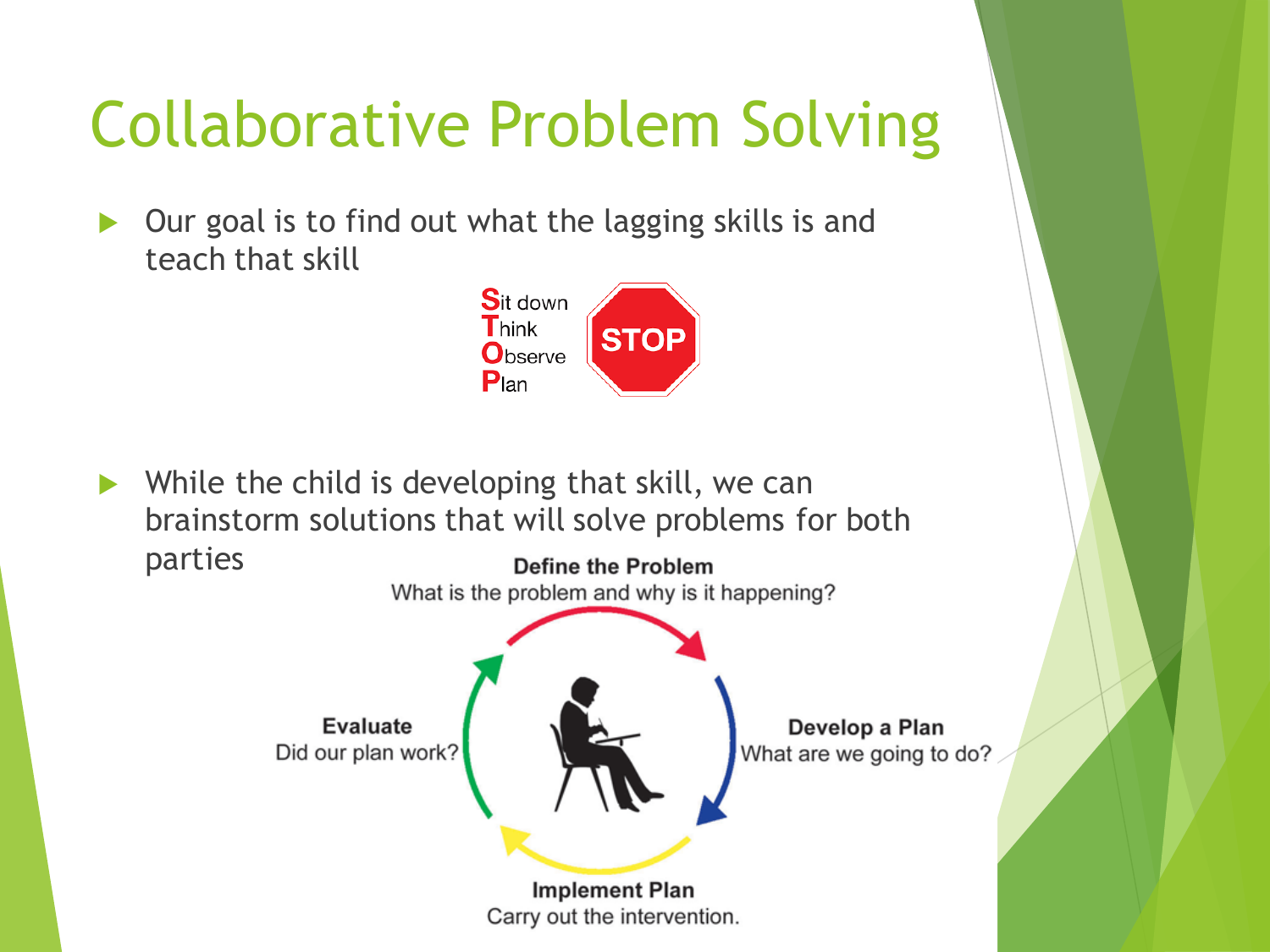# Collaborative Problem Solving

 Our goal is to find out what the lagging skills is and teach that skill



 While the child is developing that skill, we can brainstorm solutions that will solve problems for both parties

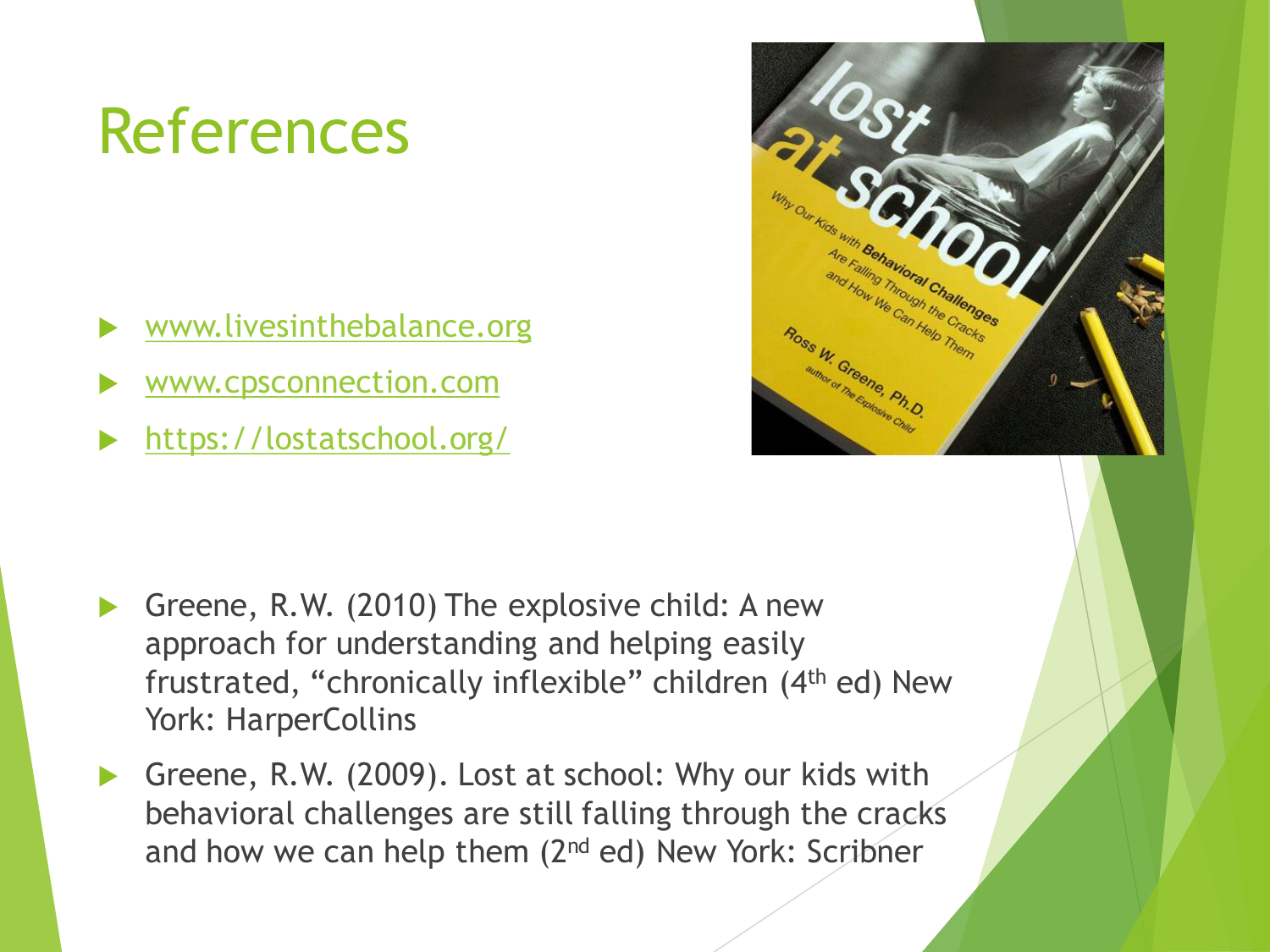# References

- [www.livesinthebalance.org](http://www.livesinthebalance.org/)
- [www.cpsconnection.com](http://www.cpsconnection.com/)
- <https://lostatschool.org/>



- Greene, R.W. (2010) The explosive child: A new approach for understanding and helping easily frustrated, "chronically inflexible" children (4th ed) New York: HarperCollins
- Greene, R.W. (2009). Lost at school: Why our kids with behavioral challenges are still falling through the cracks and how we can help them  $(2^{nd}$  ed) New York: Scribner